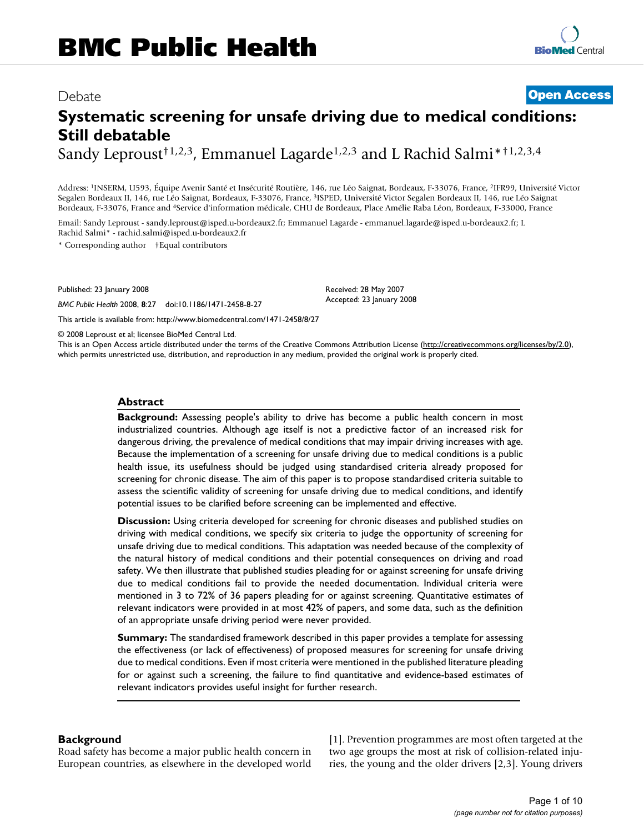## Debate **[Open Access](http://www.biomedcentral.com/info/about/charter/)**

# **Systematic screening for unsafe driving due to medical conditions: Still debatable**

Sandy Leproust<sup>†1,2,3</sup>, Emmanuel Lagarde<sup>1,2,3</sup> and L Rachid Salmi<sup>\*†1,2,3,4</sup>

Address: 1INSERM, U593, Équipe Avenir Santé et Insécurité Routière, 146, rue Léo Saignat, Bordeaux, F-33076, France, 2IFR99, Université Victor Segalen Bordeaux II, 146, rue Léo Saignat, Bordeaux, F-33076, France, 3ISPED, Université Victor Segalen Bordeaux II, 146, rue Léo Saignat Bordeaux, F-33076, France and 4Service d'information médicale, CHU de Bordeaux, Place Amélie Raba Léon, Bordeaux, F-33000, France

Email: Sandy Leproust - sandy.leproust@isped.u-bordeaux2.fr; Emmanuel Lagarde - emmanuel.lagarde@isped.u-bordeaux2.fr; L Rachid Salmi\* - rachid.salmi@isped.u-bordeaux2.fr

\* Corresponding author †Equal contributors

Published: 23 January 2008

*BMC Public Health* 2008, **8**:27 doi:10.1186/1471-2458-8-27

[This article is available from: http://www.biomedcentral.com/1471-2458/8/27](http://www.biomedcentral.com/1471-2458/8/27)

© 2008 Leproust et al; licensee BioMed Central Ltd.

This is an Open Access article distributed under the terms of the Creative Commons Attribution License [\(http://creativecommons.org/licenses/by/2.0\)](http://creativecommons.org/licenses/by/2.0), which permits unrestricted use, distribution, and reproduction in any medium, provided the original work is properly cited.

Received: 28 May 2007 Accepted: 23 January 2008

#### **Abstract**

**Background:** Assessing people's ability to drive has become a public health concern in most industrialized countries. Although age itself is not a predictive factor of an increased risk for dangerous driving, the prevalence of medical conditions that may impair driving increases with age. Because the implementation of a screening for unsafe driving due to medical conditions is a public health issue, its usefulness should be judged using standardised criteria already proposed for screening for chronic disease. The aim of this paper is to propose standardised criteria suitable to assess the scientific validity of screening for unsafe driving due to medical conditions, and identify potential issues to be clarified before screening can be implemented and effective.

**Discussion:** Using criteria developed for screening for chronic diseases and published studies on driving with medical conditions, we specify six criteria to judge the opportunity of screening for unsafe driving due to medical conditions. This adaptation was needed because of the complexity of the natural history of medical conditions and their potential consequences on driving and road safety. We then illustrate that published studies pleading for or against screening for unsafe driving due to medical conditions fail to provide the needed documentation. Individual criteria were mentioned in 3 to 72% of 36 papers pleading for or against screening. Quantitative estimates of relevant indicators were provided in at most 42% of papers, and some data, such as the definition of an appropriate unsafe driving period were never provided.

**Summary:** The standardised framework described in this paper provides a template for assessing the effectiveness (or lack of effectiveness) of proposed measures for screening for unsafe driving due to medical conditions. Even if most criteria were mentioned in the published literature pleading for or against such a screening, the failure to find quantitative and evidence-based estimates of relevant indicators provides useful insight for further research.

#### **Background**

Road safety has become a major public health concern in European countries, as elsewhere in the developed world [1]. Prevention programmes are most often targeted at the two age groups the most at risk of collision-related injuries, the young and the older drivers [2,3]. Young drivers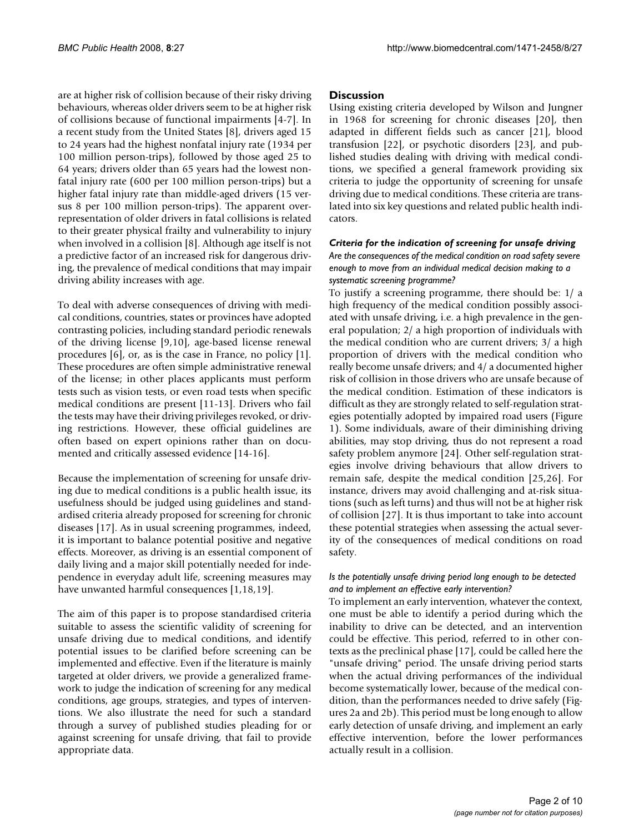are at higher risk of collision because of their risky driving behaviours, whereas older drivers seem to be at higher risk of collisions because of functional impairments [4-7]. In a recent study from the United States [8], drivers aged 15 to 24 years had the highest nonfatal injury rate (1934 per 100 million person-trips), followed by those aged 25 to 64 years; drivers older than 65 years had the lowest nonfatal injury rate (600 per 100 million person-trips) but a higher fatal injury rate than middle-aged drivers (15 versus 8 per 100 million person-trips). The apparent overrepresentation of older drivers in fatal collisions is related to their greater physical frailty and vulnerability to injury when involved in a collision [8]. Although age itself is not a predictive factor of an increased risk for dangerous driving, the prevalence of medical conditions that may impair driving ability increases with age.

To deal with adverse consequences of driving with medical conditions, countries, states or provinces have adopted contrasting policies, including standard periodic renewals of the driving license [9,10], age-based license renewal procedures [6], or, as is the case in France, no policy [1]. These procedures are often simple administrative renewal of the license; in other places applicants must perform tests such as vision tests, or even road tests when specific medical conditions are present [11-13]. Drivers who fail the tests may have their driving privileges revoked, or driving restrictions. However, these official guidelines are often based on expert opinions rather than on documented and critically assessed evidence [14-16].

Because the implementation of screening for unsafe driving due to medical conditions is a public health issue, its usefulness should be judged using guidelines and standardised criteria already proposed for screening for chronic diseases [17]. As in usual screening programmes, indeed, it is important to balance potential positive and negative effects. Moreover, as driving is an essential component of daily living and a major skill potentially needed for independence in everyday adult life, screening measures may have unwanted harmful consequences [1,18,19].

The aim of this paper is to propose standardised criteria suitable to assess the scientific validity of screening for unsafe driving due to medical conditions, and identify potential issues to be clarified before screening can be implemented and effective. Even if the literature is mainly targeted at older drivers, we provide a generalized framework to judge the indication of screening for any medical conditions, age groups, strategies, and types of interventions. We also illustrate the need for such a standard through a survey of published studies pleading for or against screening for unsafe driving, that fail to provide appropriate data.

#### **Discussion**

Using existing criteria developed by Wilson and Jungner in 1968 for screening for chronic diseases [20], then adapted in different fields such as cancer [21], blood transfusion [22], or psychotic disorders [23], and published studies dealing with driving with medical conditions, we specified a general framework providing six criteria to judge the opportunity of screening for unsafe driving due to medical conditions. These criteria are translated into six key questions and related public health indicators.

#### *Criteria for the indication of screening for unsafe driving*

*Are the consequences of the medical condition on road safety severe enough to move from an individual medical decision making to a systematic screening programme?*

To justify a screening programme, there should be: 1/ a high frequency of the medical condition possibly associated with unsafe driving, i.e. a high prevalence in the general population; 2/ a high proportion of individuals with the medical condition who are current drivers; 3/ a high proportion of drivers with the medical condition who really become unsafe drivers; and 4/ a documented higher risk of collision in those drivers who are unsafe because of the medical condition. Estimation of these indicators is difficult as they are strongly related to self-regulation strategies potentially adopted by impaired road users (Figure 1). Some individuals, aware of their diminishing driving abilities, may stop driving, thus do not represent a road safety problem anymore [24]. Other self-regulation strategies involve driving behaviours that allow drivers to remain safe, despite the medical condition [25,26]. For instance, drivers may avoid challenging and at-risk situations (such as left turns) and thus will not be at higher risk of collision [27]. It is thus important to take into account these potential strategies when assessing the actual severity of the consequences of medical conditions on road safety.

#### *Is the potentially unsafe driving period long enough to be detected and to implement an effective early intervention?*

To implement an early intervention, whatever the context, one must be able to identify a period during which the inability to drive can be detected, and an intervention could be effective. This period, referred to in other contexts as the preclinical phase [17], could be called here the "unsafe driving" period. The unsafe driving period starts when the actual driving performances of the individual become systematically lower, because of the medical condition, than the performances needed to drive safely (Figures 2a and 2b). This period must be long enough to allow early detection of unsafe driving, and implement an early effective intervention, before the lower performances actually result in a collision.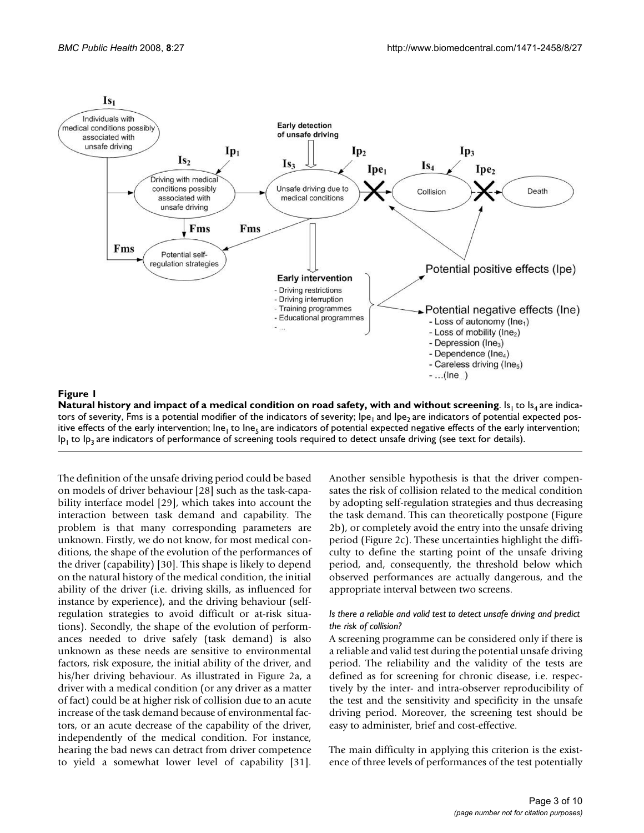

**Natural history and impact of a medical condition on road safety, with and without screening.** Is<sub>1</sub> to Is<sub>4</sub> are indicators of severity, Fms is a potential modifier of the indicators of severity;  $\lvert \mathbf{pe}_1 \rvert$  and  $\lvert \mathbf{pe}_2 \rvert$  are indicators of potential expected positive effects of the early intervention;  $\ln e_1$  to  $\ln e_5$  are indicators of potential expected negative effects of the early intervention; Ip<sub>1</sub> to Ip<sub>3</sub> are indicators of performance of screening tools required to detect unsafe driving (see text for details).

The definition of the unsafe driving period could be based on models of driver behaviour [28] such as the task-capability interface model [29], which takes into account the interaction between task demand and capability. The problem is that many corresponding parameters are unknown. Firstly, we do not know, for most medical conditions, the shape of the evolution of the performances of the driver (capability) [30]. This shape is likely to depend on the natural history of the medical condition, the initial ability of the driver (i.e. driving skills, as influenced for instance by experience), and the driving behaviour (selfregulation strategies to avoid difficult or at-risk situations). Secondly, the shape of the evolution of performances needed to drive safely (task demand) is also unknown as these needs are sensitive to environmental factors, risk exposure, the initial ability of the driver, and his/her driving behaviour. As illustrated in Figure 2a, a driver with a medical condition (or any driver as a matter of fact) could be at higher risk of collision due to an acute increase of the task demand because of environmental factors, or an acute decrease of the capability of the driver, independently of the medical condition. For instance, hearing the bad news can detract from driver competence to yield a somewhat lower level of capability [31].

Another sensible hypothesis is that the driver compensates the risk of collision related to the medical condition by adopting self-regulation strategies and thus decreasing the task demand. This can theoretically postpone (Figure 2b), or completely avoid the entry into the unsafe driving period (Figure 2c). These uncertainties highlight the difficulty to define the starting point of the unsafe driving period, and, consequently, the threshold below which observed performances are actually dangerous, and the appropriate interval between two screens.

#### *Is there a reliable and valid test to detect unsafe driving and predict the risk of collision?*

A screening programme can be considered only if there is a reliable and valid test during the potential unsafe driving period. The reliability and the validity of the tests are defined as for screening for chronic disease, i.e. respectively by the inter- and intra-observer reproducibility of the test and the sensitivity and specificity in the unsafe driving period. Moreover, the screening test should be easy to administer, brief and cost-effective.

The main difficulty in applying this criterion is the existence of three levels of performances of the test potentially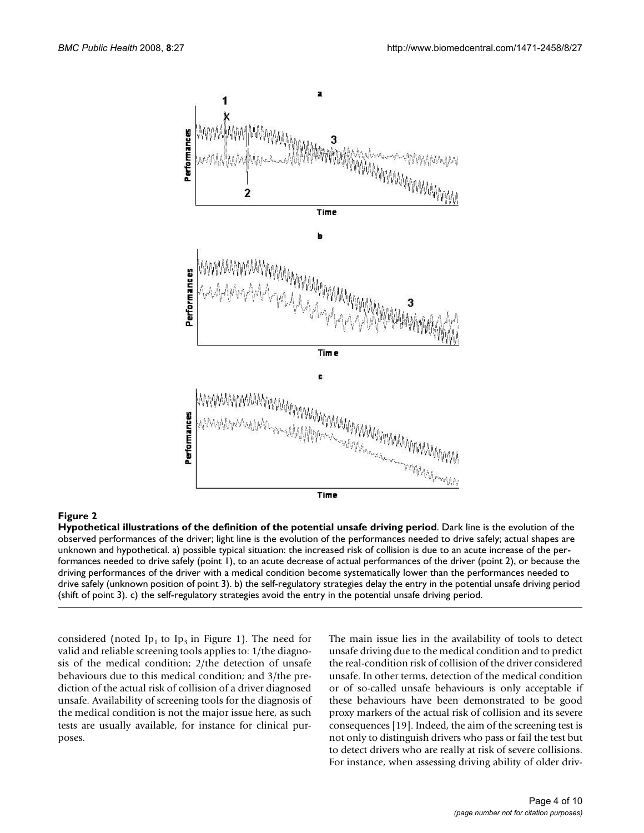

**Hypothetical illustrations of the definition of the potential unsafe driving period**. Dark line is the evolution of the observed performances of the driver; light line is the evolution of the performances needed to drive safely; actual shapes are unknown and hypothetical. a) possible typical situation: the increased risk of collision is due to an acute increase of the performances needed to drive safely (point 1), to an acute decrease of actual performances of the driver (point 2), or because the driving performances of the driver with a medical condition become systematically lower than the performances needed to drive safely (unknown position of point 3). b) the self-regulatory strategies delay the entry in the potential unsafe driving period (shift of point 3). c) the self-regulatory strategies avoid the entry in the potential unsafe driving period.

considered (noted Ip<sub>1</sub> to Ip<sub>3</sub> in Figure 1). The need for valid and reliable screening tools applies to: 1/the diagnosis of the medical condition; 2/the detection of unsafe behaviours due to this medical condition; and 3/the prediction of the actual risk of collision of a driver diagnosed unsafe. Availability of screening tools for the diagnosis of the medical condition is not the major issue here, as such tests are usually available, for instance for clinical purposes.

The main issue lies in the availability of tools to detect unsafe driving due to the medical condition and to predict the real-condition risk of collision of the driver considered unsafe. In other terms, detection of the medical condition or of so-called unsafe behaviours is only acceptable if these behaviours have been demonstrated to be good proxy markers of the actual risk of collision and its severe consequences [19]. Indeed, the aim of the screening test is not only to distinguish drivers who pass or fail the test but to detect drivers who are really at risk of severe collisions. For instance, when assessing driving ability of older driv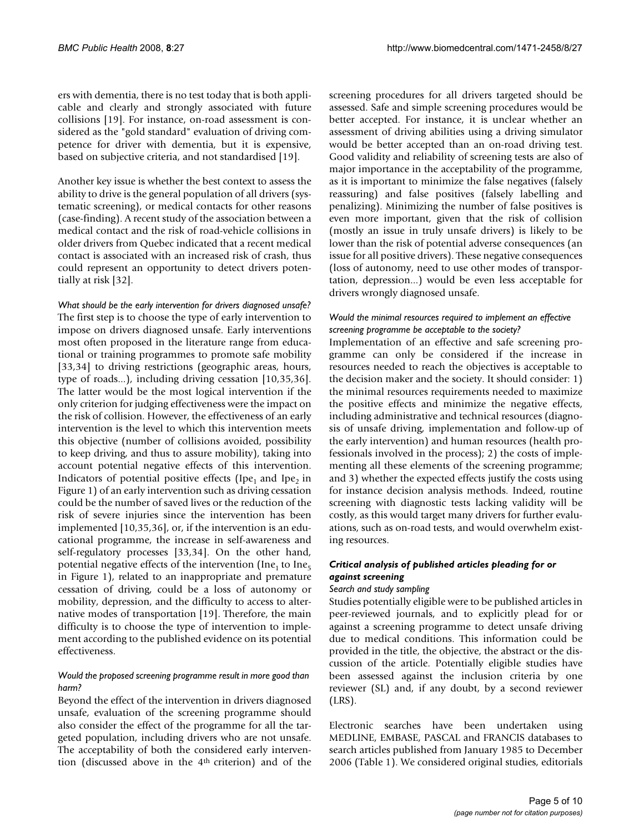ers with dementia, there is no test today that is both applicable and clearly and strongly associated with future collisions [19]. For instance, on-road assessment is considered as the "gold standard" evaluation of driving competence for driver with dementia, but it is expensive, based on subjective criteria, and not standardised [19].

Another key issue is whether the best context to assess the ability to drive is the general population of all drivers (systematic screening), or medical contacts for other reasons (case-finding). A recent study of the association between a medical contact and the risk of road-vehicle collisions in older drivers from Quebec indicated that a recent medical contact is associated with an increased risk of crash, thus could represent an opportunity to detect drivers potentially at risk [32].

*What should be the early intervention for drivers diagnosed unsafe?* The first step is to choose the type of early intervention to impose on drivers diagnosed unsafe. Early interventions most often proposed in the literature range from educational or training programmes to promote safe mobility [33,34] to driving restrictions (geographic areas, hours, type of roads...), including driving cessation [10,35,36]. The latter would be the most logical intervention if the only criterion for judging effectiveness were the impact on the risk of collision. However, the effectiveness of an early intervention is the level to which this intervention meets this objective (number of collisions avoided, possibility to keep driving, and thus to assure mobility), taking into account potential negative effects of this intervention. Indicators of potential positive effects (Ipe<sub>1</sub> and Ipe<sub>2</sub> in Figure 1) of an early intervention such as driving cessation could be the number of saved lives or the reduction of the risk of severe injuries since the intervention has been implemented [10,35,36], or, if the intervention is an educational programme, the increase in self-awareness and self-regulatory processes [33,34]. On the other hand, potential negative effects of the intervention (Ine<sub>1</sub> to Ine<sub>5</sub> in Figure 1), related to an inappropriate and premature cessation of driving, could be a loss of autonomy or mobility, depression, and the difficulty to access to alternative modes of transportation [19]. Therefore, the main difficulty is to choose the type of intervention to implement according to the published evidence on its potential effectiveness.

#### *Would the proposed screening programme result in more good than harm?*

Beyond the effect of the intervention in drivers diagnosed unsafe, evaluation of the screening programme should also consider the effect of the programme for all the targeted population, including drivers who are not unsafe. The acceptability of both the considered early intervention (discussed above in the 4th criterion) and of the screening procedures for all drivers targeted should be assessed. Safe and simple screening procedures would be better accepted. For instance, it is unclear whether an assessment of driving abilities using a driving simulator would be better accepted than an on-road driving test. Good validity and reliability of screening tests are also of major importance in the acceptability of the programme, as it is important to minimize the false negatives (falsely reassuring) and false positives (falsely labelling and penalizing). Minimizing the number of false positives is even more important, given that the risk of collision (mostly an issue in truly unsafe drivers) is likely to be lower than the risk of potential adverse consequences (an issue for all positive drivers). These negative consequences (loss of autonomy, need to use other modes of transportation, depression...) would be even less acceptable for drivers wrongly diagnosed unsafe.

#### *Would the minimal resources required to implement an effective screening programme be acceptable to the society?*

Implementation of an effective and safe screening programme can only be considered if the increase in resources needed to reach the objectives is acceptable to the decision maker and the society. It should consider: 1) the minimal resources requirements needed to maximize the positive effects and minimize the negative effects, including administrative and technical resources (diagnosis of unsafe driving, implementation and follow-up of the early intervention) and human resources (health professionals involved in the process); 2) the costs of implementing all these elements of the screening programme; and 3) whether the expected effects justify the costs using for instance decision analysis methods. Indeed, routine screening with diagnostic tests lacking validity will be costly, as this would target many drivers for further evaluations, such as on-road tests, and would overwhelm existing resources.

#### *Critical analysis of published articles pleading for or against screening*

#### *Search and study sampling*

Studies potentially eligible were to be published articles in peer-reviewed journals, and to explicitly plead for or against a screening programme to detect unsafe driving due to medical conditions. This information could be provided in the title, the objective, the abstract or the discussion of the article. Potentially eligible studies have been assessed against the inclusion criteria by one reviewer (SL) and, if any doubt, by a second reviewer (LRS).

Electronic searches have been undertaken using MEDLINE, EMBASE, PASCAL and FRANCIS databases to search articles published from January 1985 to December 2006 (Table 1). We considered original studies, editorials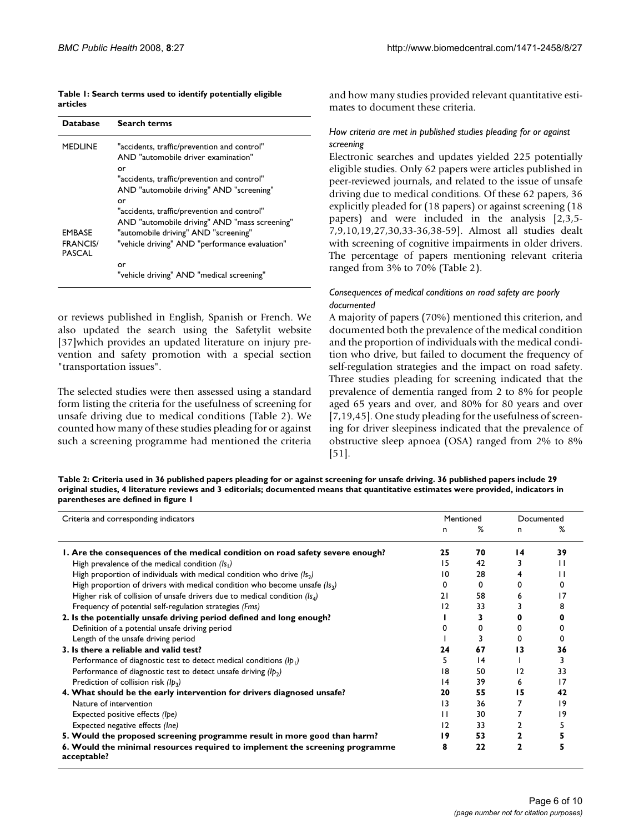**Table 1: Search terms used to identify potentially eligible articles**

| Database                         | <b>Search terms</b>                            |
|----------------------------------|------------------------------------------------|
| <b>MEDLINE</b>                   | "accidents, traffic/prevention and control"    |
|                                  | AND "automobile driver examination"            |
|                                  | or                                             |
|                                  | "accidents, traffic/prevention and control"    |
|                                  | AND "automobile driving" AND "screening"       |
|                                  | or                                             |
|                                  | "accidents, traffic/prevention and control"    |
|                                  | AND "automobile driving" AND "mass screening"  |
| <b>FMBASF</b>                    | "automobile driving" AND "screening"           |
| <b>FRANCIS/</b><br><b>PASCAL</b> | "vehicle driving" AND "performance evaluation" |
|                                  | or                                             |
|                                  | "vehicle driving" AND "medical screening"      |

or reviews published in English, Spanish or French. We also updated the search using the Safetylit website [37]which provides an updated literature on injury prevention and safety promotion with a special section "transportation issues".

The selected studies were then assessed using a standard form listing the criteria for the usefulness of screening for unsafe driving due to medical conditions (Table 2). We counted how many of these studies pleading for or against such a screening programme had mentioned the criteria and how many studies provided relevant quantitative estimates to document these criteria.

#### *How criteria are met in published studies pleading for or against screening*

Electronic searches and updates yielded 225 potentially eligible studies. Only 62 papers were articles published in peer-reviewed journals, and related to the issue of unsafe driving due to medical conditions. Of these 62 papers, 36 explicitly pleaded for (18 papers) or against screening (18 papers) and were included in the analysis [2,3,5- 7,9,10,19,27,30,33-36,38-59]. Almost all studies dealt with screening of cognitive impairments in older drivers. The percentage of papers mentioning relevant criteria ranged from 3% to 70% (Table 2).

#### *Consequences of medical conditions on road safety are poorly documented*

A majority of papers (70%) mentioned this criterion, and documented both the prevalence of the medical condition and the proportion of individuals with the medical condition who drive, but failed to document the frequency of self-regulation strategies and the impact on road safety. Three studies pleading for screening indicated that the prevalence of dementia ranged from 2 to 8% for people aged 65 years and over, and 80% for 80 years and over [7,19,45]. One study pleading for the usefulness of screening for driver sleepiness indicated that the prevalence of obstructive sleep apnoea (OSA) ranged from 2% to 8% [51].

**Table 2: Criteria used in 36 published papers pleading for or against screening for unsafe driving. 36 published papers include 29 original studies, 4 literature reviews and 3 editorials; documented means that quantitative estimates were provided, indicators in parentheses are defined in figure 1**

| Criteria and corresponding indicators                                                       |    | Mentioned       |    | Documented |  |
|---------------------------------------------------------------------------------------------|----|-----------------|----|------------|--|
|                                                                                             | n  | ℅               | n  | ℅          |  |
| I. Are the consequences of the medical condition on road safety severe enough?              |    | 70              | 14 | 39         |  |
| High prevalence of the medical condition $(Is1)$                                            |    | 42              |    | п          |  |
| High proportion of individuals with medical condition who drive $(Is2)$                     |    | 28              |    |            |  |
| High proportion of drivers with medical condition who become unsafe $(Is_3)$                |    | 0               |    |            |  |
| Higher risk of collision of unsafe drivers due to medical condition $(Is_4)$                |    | 58              |    |            |  |
| Frequency of potential self-regulation strategies (Fms)                                     |    | 33              |    |            |  |
| 2. Is the potentially unsafe driving period defined and long enough?                        |    |                 |    |            |  |
| Definition of a potential unsafe driving period                                             |    | 0               |    |            |  |
| Length of the unsafe driving period                                                         |    |                 |    |            |  |
| 3. Is there a reliable and valid test?                                                      |    | 67              | 13 | 36         |  |
| Performance of diagnostic test to detect medical conditions $(1p_1)$                        |    | $\overline{14}$ |    |            |  |
| Performance of diagnostic test to detect unsafe driving $(lp_2)$                            |    | 50              | 12 | 33         |  |
| Prediction of collision risk $(h_3)$                                                        |    | 39              | 6  | 17         |  |
| 4. What should be the early intervention for drivers diagnosed unsafe?                      |    | 55              | 15 | 42         |  |
| Nature of intervention                                                                      | 13 | 36              |    | 19         |  |
| Expected positive effects (lpe)                                                             |    | 30              |    | 19         |  |
| Expected negative effects (lne)                                                             |    | 33              |    |            |  |
| 5. Would the proposed screening programme result in more good than harm?                    |    | 53              |    |            |  |
| 6. Would the minimal resources required to implement the screening programme<br>acceptable? |    | 22              |    |            |  |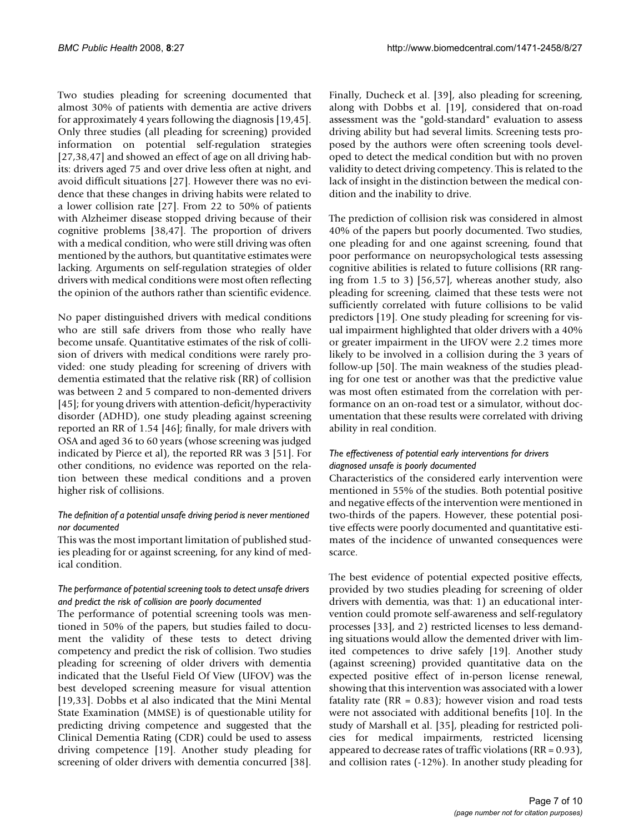Two studies pleading for screening documented that almost 30% of patients with dementia are active drivers for approximately 4 years following the diagnosis [19,45]. Only three studies (all pleading for screening) provided information on potential self-regulation strategies [27,38,47] and showed an effect of age on all driving habits: drivers aged 75 and over drive less often at night, and avoid difficult situations [27]. However there was no evidence that these changes in driving habits were related to a lower collision rate [27]. From 22 to 50% of patients with Alzheimer disease stopped driving because of their cognitive problems [38,47]. The proportion of drivers with a medical condition, who were still driving was often mentioned by the authors, but quantitative estimates were lacking. Arguments on self-regulation strategies of older drivers with medical conditions were most often reflecting the opinion of the authors rather than scientific evidence.

No paper distinguished drivers with medical conditions who are still safe drivers from those who really have become unsafe. Quantitative estimates of the risk of collision of drivers with medical conditions were rarely provided: one study pleading for screening of drivers with dementia estimated that the relative risk (RR) of collision was between 2 and 5 compared to non-demented drivers [45]; for young drivers with attention-deficit/hyperactivity disorder (ADHD), one study pleading against screening reported an RR of 1.54 [46]; finally, for male drivers with OSA and aged 36 to 60 years (whose screening was judged indicated by Pierce et al), the reported RR was 3 [51]. For other conditions, no evidence was reported on the relation between these medical conditions and a proven higher risk of collisions.

#### *The definition of a potential unsafe driving period is never mentioned nor documented*

This was the most important limitation of published studies pleading for or against screening, for any kind of medical condition.

#### *The performance of potential screening tools to detect unsafe drivers and predict the risk of collision are poorly documented*

The performance of potential screening tools was mentioned in 50% of the papers, but studies failed to document the validity of these tests to detect driving competency and predict the risk of collision. Two studies pleading for screening of older drivers with dementia indicated that the Useful Field Of View (UFOV) was the best developed screening measure for visual attention [19,33]. Dobbs et al also indicated that the Mini Mental State Examination (MMSE) is of questionable utility for predicting driving competence and suggested that the Clinical Dementia Rating (CDR) could be used to assess driving competence [19]. Another study pleading for screening of older drivers with dementia concurred [38].

Finally, Ducheck et al. [39], also pleading for screening, along with Dobbs et al. [19], considered that on-road assessment was the "gold-standard" evaluation to assess driving ability but had several limits. Screening tests proposed by the authors were often screening tools developed to detect the medical condition but with no proven validity to detect driving competency. This is related to the lack of insight in the distinction between the medical condition and the inability to drive.

The prediction of collision risk was considered in almost 40% of the papers but poorly documented. Two studies, one pleading for and one against screening, found that poor performance on neuropsychological tests assessing cognitive abilities is related to future collisions (RR ranging from 1.5 to 3) [56,57], whereas another study, also pleading for screening, claimed that these tests were not sufficiently correlated with future collisions to be valid predictors [19]. One study pleading for screening for visual impairment highlighted that older drivers with a 40% or greater impairment in the UFOV were 2.2 times more likely to be involved in a collision during the 3 years of follow-up [50]. The main weakness of the studies pleading for one test or another was that the predictive value was most often estimated from the correlation with performance on an on-road test or a simulator, without documentation that these results were correlated with driving ability in real condition.

#### *The effectiveness of potential early interventions for drivers diagnosed unsafe is poorly documented*

Characteristics of the considered early intervention were mentioned in 55% of the studies. Both potential positive and negative effects of the intervention were mentioned in two-thirds of the papers. However, these potential positive effects were poorly documented and quantitative estimates of the incidence of unwanted consequences were scarce.

The best evidence of potential expected positive effects, provided by two studies pleading for screening of older drivers with dementia, was that: 1) an educational intervention could promote self-awareness and self-regulatory processes [33], and 2) restricted licenses to less demanding situations would allow the demented driver with limited competences to drive safely [19]. Another study (against screening) provided quantitative data on the expected positive effect of in-person license renewal, showing that this intervention was associated with a lower fatality rate ( $RR = 0.83$ ); however vision and road tests were not associated with additional benefits [10]. In the study of Marshall et al. [35], pleading for restricted policies for medical impairments, restricted licensing appeared to decrease rates of traffic violations (RR = 0.93), and collision rates (-12%). In another study pleading for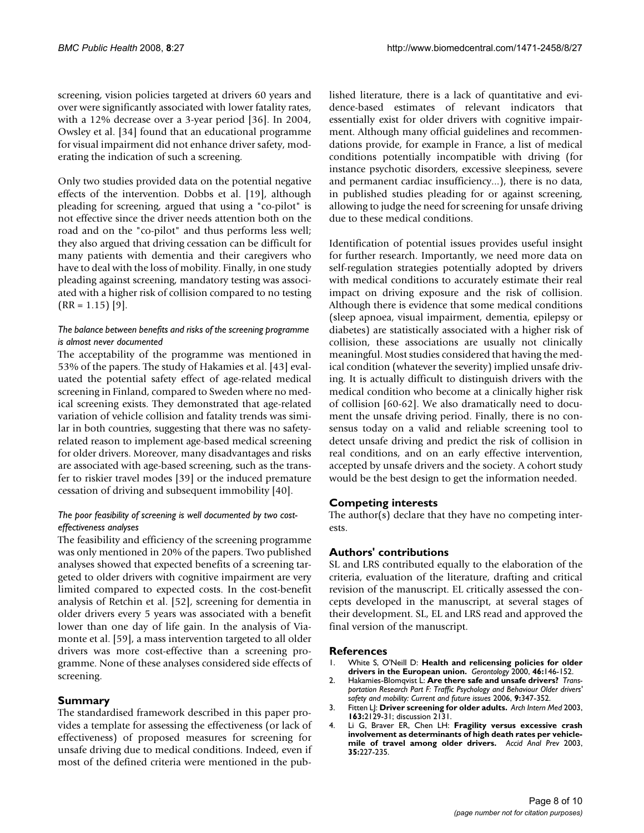screening, vision policies targeted at drivers 60 years and over were significantly associated with lower fatality rates, with a 12% decrease over a 3-year period [36]. In 2004, Owsley et al. [34] found that an educational programme for visual impairment did not enhance driver safety, moderating the indication of such a screening.

Only two studies provided data on the potential negative effects of the intervention. Dobbs et al. [19], although pleading for screening, argued that using a "co-pilot" is not effective since the driver needs attention both on the road and on the "co-pilot" and thus performs less well; they also argued that driving cessation can be difficult for many patients with dementia and their caregivers who have to deal with the loss of mobility. Finally, in one study pleading against screening, mandatory testing was associated with a higher risk of collision compared to no testing  $(RR = 1.15)$  [9].

#### *The balance between benefits and risks of the screening programme is almost never documented*

The acceptability of the programme was mentioned in 53% of the papers. The study of Hakamies et al. [43] evaluated the potential safety effect of age-related medical screening in Finland, compared to Sweden where no medical screening exists. They demonstrated that age-related variation of vehicle collision and fatality trends was similar in both countries, suggesting that there was no safetyrelated reason to implement age-based medical screening for older drivers. Moreover, many disadvantages and risks are associated with age-based screening, such as the transfer to riskier travel modes [39] or the induced premature cessation of driving and subsequent immobility [40].

#### *The poor feasibility of screening is well documented by two costeffectiveness analyses*

The feasibility and efficiency of the screening programme was only mentioned in 20% of the papers. Two published analyses showed that expected benefits of a screening targeted to older drivers with cognitive impairment are very limited compared to expected costs. In the cost-benefit analysis of Retchin et al. [52], screening for dementia in older drivers every 5 years was associated with a benefit lower than one day of life gain. In the analysis of Viamonte et al. [59], a mass intervention targeted to all older drivers was more cost-effective than a screening programme. None of these analyses considered side effects of screening.

### **Summary**

The standardised framework described in this paper provides a template for assessing the effectiveness (or lack of effectiveness) of proposed measures for screening for unsafe driving due to medical conditions. Indeed, even if most of the defined criteria were mentioned in the published literature, there is a lack of quantitative and evidence-based estimates of relevant indicators that essentially exist for older drivers with cognitive impairment. Although many official guidelines and recommendations provide, for example in France, a list of medical conditions potentially incompatible with driving (for instance psychotic disorders, excessive sleepiness, severe and permanent cardiac insufficiency...), there is no data, in published studies pleading for or against screening, allowing to judge the need for screening for unsafe driving due to these medical conditions.

Identification of potential issues provides useful insight for further research. Importantly, we need more data on self-regulation strategies potentially adopted by drivers with medical conditions to accurately estimate their real impact on driving exposure and the risk of collision. Although there is evidence that some medical conditions (sleep apnoea, visual impairment, dementia, epilepsy or diabetes) are statistically associated with a higher risk of collision, these associations are usually not clinically meaningful. Most studies considered that having the medical condition (whatever the severity) implied unsafe driving. It is actually difficult to distinguish drivers with the medical condition who become at a clinically higher risk of collision [60-62]. We also dramatically need to document the unsafe driving period. Finally, there is no consensus today on a valid and reliable screening tool to detect unsafe driving and predict the risk of collision in real conditions, and on an early effective intervention, accepted by unsafe drivers and the society. A cohort study would be the best design to get the information needed.

#### **Competing interests**

The author(s) declare that they have no competing interests.

#### **Authors' contributions**

SL and LRS contributed equally to the elaboration of the criteria, evaluation of the literature, drafting and critical revision of the manuscript. EL critically assessed the concepts developed in the manuscript, at several stages of their development. SL, EL and LRS read and approved the final version of the manuscript.

#### **References**

- 1. White S, O'Neill D: **[Health and relicensing policies for older](http://www.ncbi.nlm.nih.gov/entrez/query.fcgi?cmd=Retrieve&db=PubMed&dopt=Abstract&list_uids=10754372) [drivers in the European union.](http://www.ncbi.nlm.nih.gov/entrez/query.fcgi?cmd=Retrieve&db=PubMed&dopt=Abstract&list_uids=10754372)** *Gerontology* 2000, **46:**146-152.
- 2. Hakamies-Blomqvist L: **Are there safe and unsafe drivers?** *Transportation Research Part F: Traffic Psychology and Behaviour Older drivers' safety and mobility: Current and future issues* 2006, **9:**347-352.
- 3. Fitten LJ: **[Driver screening for older adults.](http://www.ncbi.nlm.nih.gov/entrez/query.fcgi?cmd=Retrieve&db=PubMed&dopt=Abstract&list_uids=14557207)** *Arch Intern Med* 2003, **163:**2129-31; discussion 2131.
- 4. Li G, Braver ER, Chen LH: **[Fragility versus excessive crash](http://www.ncbi.nlm.nih.gov/entrez/query.fcgi?cmd=Retrieve&db=PubMed&dopt=Abstract&list_uids=12504143) [involvement as determinants of high death rates per vehicle](http://www.ncbi.nlm.nih.gov/entrez/query.fcgi?cmd=Retrieve&db=PubMed&dopt=Abstract&list_uids=12504143)[mile of travel among older drivers.](http://www.ncbi.nlm.nih.gov/entrez/query.fcgi?cmd=Retrieve&db=PubMed&dopt=Abstract&list_uids=12504143)** *Accid Anal Prev* 2003, **35:**227-235.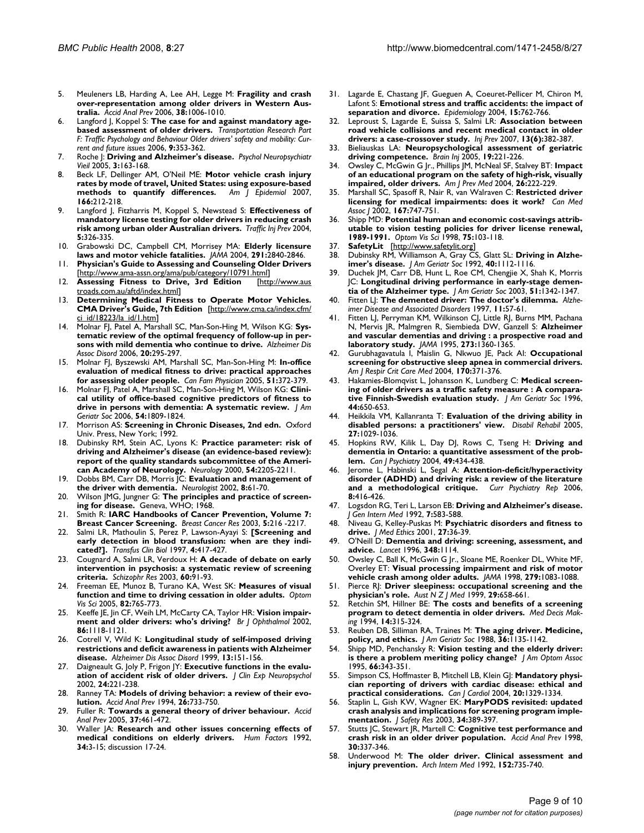- 5. Meuleners LB, Harding A, Lee AH, Legge M: **[Fragility and crash](http://www.ncbi.nlm.nih.gov/entrez/query.fcgi?cmd=Retrieve&db=PubMed&dopt=Abstract&list_uids=16713982) [over-representation among older drivers in Western Aus](http://www.ncbi.nlm.nih.gov/entrez/query.fcgi?cmd=Retrieve&db=PubMed&dopt=Abstract&list_uids=16713982)[tralia.](http://www.ncbi.nlm.nih.gov/entrez/query.fcgi?cmd=Retrieve&db=PubMed&dopt=Abstract&list_uids=16713982)** *Accid Anal Prev* 2006, **38:**1006-1010.
- 6. Langford J, Koppel S: **The case for and against mandatory agebased assessment of older drivers.** *Transportation Research Part F: Traffic Psychology and Behaviour Older drivers' safety and mobility: Current and future issues* 2006, **9:**353-362.
- 7. Roche J: **[Driving and Alzheimer's disease.](http://www.ncbi.nlm.nih.gov/entrez/query.fcgi?cmd=Retrieve&db=PubMed&dopt=Abstract&list_uids=16126469)** *Psychol Neuropsychiatr Vieil* 2005, **3:**163-168.
- 8. Beck LF, Dellinger AM, O'Neil ME: **[Motor vehicle crash injury](http://www.ncbi.nlm.nih.gov/entrez/query.fcgi?cmd=Retrieve&db=PubMed&dopt=Abstract&list_uids=17449891) [rates by mode of travel, United States: using exposure-based](http://www.ncbi.nlm.nih.gov/entrez/query.fcgi?cmd=Retrieve&db=PubMed&dopt=Abstract&list_uids=17449891) [methods to quantify differences.](http://www.ncbi.nlm.nih.gov/entrez/query.fcgi?cmd=Retrieve&db=PubMed&dopt=Abstract&list_uids=17449891)** *Am J Epidemiol* 2007, **166:**212-218.
- 9. Langford J, Fitzharris M, Koppel S, Newstead S: **[Effectiveness of](http://www.ncbi.nlm.nih.gov/entrez/query.fcgi?cmd=Retrieve&db=PubMed&dopt=Abstract&list_uids=15545070) [mandatory license testing for older drivers in reducing crash](http://www.ncbi.nlm.nih.gov/entrez/query.fcgi?cmd=Retrieve&db=PubMed&dopt=Abstract&list_uids=15545070) [risk among urban older Australian drivers.](http://www.ncbi.nlm.nih.gov/entrez/query.fcgi?cmd=Retrieve&db=PubMed&dopt=Abstract&list_uids=15545070)** *Traffic Inj Prev* 2004, **5:**326-335.
- 10. Grabowski DC, Campbell CM, Morrisey MA: **[Elderly licensure](http://www.ncbi.nlm.nih.gov/entrez/query.fcgi?cmd=Retrieve&db=PubMed&dopt=Abstract&list_uids=15199034) [laws and motor vehicle fatalities.](http://www.ncbi.nlm.nih.gov/entrez/query.fcgi?cmd=Retrieve&db=PubMed&dopt=Abstract&list_uids=15199034)** *JAMA* 2004, **291:**2840-2846.
- 11. **Physician's Guide to Assessing and Counseling Older Drivers** [<http://www.ama-assn.org/ama/pub/category/10791.html>]<br>Assessing Fitness to Drive, 3rd Edition [http://www.aus
- 12. Assessing Fitness to Drive, 3rd Edition [troads.com.au/aftd/index.html\]](http://www.austroads.com.au/aftd/index.html)
- 13. **Determining Medical Fitness to Operate Motor Vehicles. CMA Driver's Guide, 7th Edition** [\[http://www.cma.ca/index.cfm/](http://www.cma.ca/index.cfm/ci_id/18223/la_id/1.htm) [ci\\_id/18223/la\\_id/1.htm\]](http://www.cma.ca/index.cfm/ci_id/18223/la_id/1.htm)
- 14. Molnar FJ, Patel A, Marshall SC, Man-Son-Hing M, Wilson KG: **[Sys](http://www.ncbi.nlm.nih.gov/entrez/query.fcgi?cmd=Retrieve&db=PubMed&dopt=Abstract&list_uids=17132976)[tematic review of the optimal frequency of follow-up in per](http://www.ncbi.nlm.nih.gov/entrez/query.fcgi?cmd=Retrieve&db=PubMed&dopt=Abstract&list_uids=17132976)[sons with mild dementia who continue to drive.](http://www.ncbi.nlm.nih.gov/entrez/query.fcgi?cmd=Retrieve&db=PubMed&dopt=Abstract&list_uids=17132976)** *Alzheimer Dis Assoc Disord* 2006, **20:**295-297.
- 15. Molnar FJ, Byszewski AM, Marshall SC, Man-Son-Hing M: **[In-office](http://www.ncbi.nlm.nih.gov/entrez/query.fcgi?cmd=Retrieve&db=PubMed&dopt=Abstract&list_uids=15794022) [evaluation of medical fitness to drive: practical approaches](http://www.ncbi.nlm.nih.gov/entrez/query.fcgi?cmd=Retrieve&db=PubMed&dopt=Abstract&list_uids=15794022) [for assessing older people.](http://www.ncbi.nlm.nih.gov/entrez/query.fcgi?cmd=Retrieve&db=PubMed&dopt=Abstract&list_uids=15794022)** *Can Fam Physician* 2005, **51:**372-379.
- 16. Molnar FJ, Patel A, Marshall SC, Man-Son-Hing M, Wilson KG: **[Clini](http://www.ncbi.nlm.nih.gov/entrez/query.fcgi?cmd=Retrieve&db=PubMed&dopt=Abstract&list_uids=17198485)[cal utility of office-based cognitive predictors of fitness to](http://www.ncbi.nlm.nih.gov/entrez/query.fcgi?cmd=Retrieve&db=PubMed&dopt=Abstract&list_uids=17198485) [drive in persons with dementia: A systematic review.](http://www.ncbi.nlm.nih.gov/entrez/query.fcgi?cmd=Retrieve&db=PubMed&dopt=Abstract&list_uids=17198485)** *J Am Geriatr Soc* 2006, **54:**1809-1824.
- 17. Morrison AS: **Screening in Chronic Diseases, 2nd edn.** Oxford Univ. Press, New York; 1992.
- 18. Dubinsky RM, Stein AC, Lyons K: **[Practice parameter: risk of](http://www.ncbi.nlm.nih.gov/entrez/query.fcgi?cmd=Retrieve&db=PubMed&dopt=Abstract&list_uids=10881240) [driving and Alzheimer's disease \(an evidence-based review\):](http://www.ncbi.nlm.nih.gov/entrez/query.fcgi?cmd=Retrieve&db=PubMed&dopt=Abstract&list_uids=10881240) report of the quality standards subcommittee of the Ameri[can Academy of Neurology.](http://www.ncbi.nlm.nih.gov/entrez/query.fcgi?cmd=Retrieve&db=PubMed&dopt=Abstract&list_uids=10881240)** *Neurology* 2000, **54:**2205-2211.
- 19. Dobbs BM, Carr DB, Morris JC: **[Evaluation and management of](http://www.ncbi.nlm.nih.gov/entrez/query.fcgi?cmd=Retrieve&db=PubMed&dopt=Abstract&list_uids=12803692) [the driver with dementia.](http://www.ncbi.nlm.nih.gov/entrez/query.fcgi?cmd=Retrieve&db=PubMed&dopt=Abstract&list_uids=12803692)** *Neurologist* 2002, **8:**61-70.
- 20. Wilson JMG, Jungner G: **The principles and practice of screening for disease.** Geneva, WHO; 1968.
- 21. Smith R: **IARC Handbooks of Cancer Prevention, Volume 7: Breast Cancer Screening.** *Breast Cancer Res* 2003, **5:**216 -2217.
- Salmi LR, Mathoulin S, Perez P, Lawson-Ayayi S: **[\[Screening and](http://www.ncbi.nlm.nih.gov/entrez/query.fcgi?cmd=Retrieve&db=PubMed&dopt=Abstract&list_uids=9333420) [early detection in blood transfusion: when are they indi](http://www.ncbi.nlm.nih.gov/entrez/query.fcgi?cmd=Retrieve&db=PubMed&dopt=Abstract&list_uids=9333420)[cated?\].](http://www.ncbi.nlm.nih.gov/entrez/query.fcgi?cmd=Retrieve&db=PubMed&dopt=Abstract&list_uids=9333420)** *Transfus Clin Biol* 1997, **4:**417-427.
- 23. Cougnard A, Salmi LR, Verdoux H: **[A decade of debate on early](http://www.ncbi.nlm.nih.gov/entrez/query.fcgi?cmd=Retrieve&db=PubMed&dopt=Abstract&list_uids=12505143) [intervention in psychosis: a systematic review of screening](http://www.ncbi.nlm.nih.gov/entrez/query.fcgi?cmd=Retrieve&db=PubMed&dopt=Abstract&list_uids=12505143) [criteria.](http://www.ncbi.nlm.nih.gov/entrez/query.fcgi?cmd=Retrieve&db=PubMed&dopt=Abstract&list_uids=12505143)** *Schizophr Res* 2003, **60:**91-93.
- 24. Freeman EE, Munoz B, Turano KA, West SK: **[Measures of visual](http://www.ncbi.nlm.nih.gov/entrez/query.fcgi?cmd=Retrieve&db=PubMed&dopt=Abstract&list_uids=16127343) [function and time to driving cessation in older adults.](http://www.ncbi.nlm.nih.gov/entrez/query.fcgi?cmd=Retrieve&db=PubMed&dopt=Abstract&list_uids=16127343)** *Optom Vis Sci* 2005, **82:**765-773.
- 25. Keeffe JE, Jin CF, Weih LM, McCarty CA, Taylor HR: **[Vision impair](http://www.ncbi.nlm.nih.gov/entrez/query.fcgi?cmd=Retrieve&db=PubMed&dopt=Abstract&list_uids=12234890)[ment and older drivers: who's driving?](http://www.ncbi.nlm.nih.gov/entrez/query.fcgi?cmd=Retrieve&db=PubMed&dopt=Abstract&list_uids=12234890)** *Br J Ophthalmol* 2002, **86:**1118-1121.
- 26. Cotrell V, Wild K: **[Longitudinal study of self-imposed driving](http://www.ncbi.nlm.nih.gov/entrez/query.fcgi?cmd=Retrieve&db=PubMed&dopt=Abstract&list_uids=10485574) [restrictions and deficit awareness in patients with Alzheimer](http://www.ncbi.nlm.nih.gov/entrez/query.fcgi?cmd=Retrieve&db=PubMed&dopt=Abstract&list_uids=10485574) [disease.](http://www.ncbi.nlm.nih.gov/entrez/query.fcgi?cmd=Retrieve&db=PubMed&dopt=Abstract&list_uids=10485574)** *Alzheimer Dis Assoc Disord* 1999, **13:**151-156.
- 27. Daigneault G, Joly P, Frigon JY: **[Executive functions in the evalu](http://www.ncbi.nlm.nih.gov/entrez/query.fcgi?cmd=Retrieve&db=PubMed&dopt=Abstract&list_uids=11992205)[ation of accident risk of older drivers.](http://www.ncbi.nlm.nih.gov/entrez/query.fcgi?cmd=Retrieve&db=PubMed&dopt=Abstract&list_uids=11992205)** *J Clin Exp Neuropsychol* 2002, **24:**221-238.
- 28. Ranney TA: **[Models of driving behavior: a review of their evo](http://www.ncbi.nlm.nih.gov/entrez/query.fcgi?cmd=Retrieve&db=PubMed&dopt=Abstract&list_uids=7857489)[lution.](http://www.ncbi.nlm.nih.gov/entrez/query.fcgi?cmd=Retrieve&db=PubMed&dopt=Abstract&list_uids=7857489)** *Accid Anal Prev* 1994, **26:**733-750.
- 29. Fuller R: **[Towards a general theory of driver behaviour.](http://www.ncbi.nlm.nih.gov/entrez/query.fcgi?cmd=Retrieve&db=PubMed&dopt=Abstract&list_uids=15784200)** *Accid Anal Prev* 2005, **37:**461-472.
- 30. Waller JA: **[Research and other issues concerning effects of](http://www.ncbi.nlm.nih.gov/entrez/query.fcgi?cmd=Retrieve&db=PubMed&dopt=Abstract&list_uids=1577501) [medical conditions on elderly drivers.](http://www.ncbi.nlm.nih.gov/entrez/query.fcgi?cmd=Retrieve&db=PubMed&dopt=Abstract&list_uids=1577501)** *Hum Factors* 1992, **34:**3-15; discussion 17-24.
- 31. Lagarde E, Chastang JF, Gueguen A, Coeuret-Pellicer M, Chiron M, Lafont S: **[Emotional stress and traffic accidents: the impact of](http://www.ncbi.nlm.nih.gov/entrez/query.fcgi?cmd=Retrieve&db=PubMed&dopt=Abstract&list_uids=15475727) [separation and divorce.](http://www.ncbi.nlm.nih.gov/entrez/query.fcgi?cmd=Retrieve&db=PubMed&dopt=Abstract&list_uids=15475727)** *Epidemiology* 2004, **15:**762-766.
- 32. Leproust S, Lagarde E, Suissa S, Salmi LR: **[Association between](http://www.ncbi.nlm.nih.gov/entrez/query.fcgi?cmd=Retrieve&db=PubMed&dopt=Abstract&list_uids=18056314) [road vehicle collisions and recent medical contact in older](http://www.ncbi.nlm.nih.gov/entrez/query.fcgi?cmd=Retrieve&db=PubMed&dopt=Abstract&list_uids=18056314) [drivers: a case-crossover study.](http://www.ncbi.nlm.nih.gov/entrez/query.fcgi?cmd=Retrieve&db=PubMed&dopt=Abstract&list_uids=18056314)** *Inj Prev* 2007, **13(6):**382-387.
- 33. Bieliauskas LA: **[Neuropsychological assessment of geriatric](http://www.ncbi.nlm.nih.gov/entrez/query.fcgi?cmd=Retrieve&db=PubMed&dopt=Abstract&list_uids=15832896) [driving competence.](http://www.ncbi.nlm.nih.gov/entrez/query.fcgi?cmd=Retrieve&db=PubMed&dopt=Abstract&list_uids=15832896)** *Brain Inj* 2005, **19:**221-226.
- 34. Owsley C, McGwin G Jr., Phillips JM, McNeal SF, Stalvey BT: **[Impact](http://www.ncbi.nlm.nih.gov/entrez/query.fcgi?cmd=Retrieve&db=PubMed&dopt=Abstract&list_uids=15026102) [of an educational program on the safety of high-risk, visually](http://www.ncbi.nlm.nih.gov/entrez/query.fcgi?cmd=Retrieve&db=PubMed&dopt=Abstract&list_uids=15026102) [impaired, older drivers.](http://www.ncbi.nlm.nih.gov/entrez/query.fcgi?cmd=Retrieve&db=PubMed&dopt=Abstract&list_uids=15026102)** *Am J Prev Med* 2004, **26:**222-229.
- 35. Marshall SC, Spasoff R, Nair R, van Walraven C: **Restricted driver licensing for medical impairments: does it work?** *Can Med Assoc J* 2002, **167:**747-751.
- 36. Shipp MD: **[Potential human and economic cost-savings attrib](http://www.ncbi.nlm.nih.gov/entrez/query.fcgi?cmd=Retrieve&db=PubMed&dopt=Abstract&list_uids=9503436)[utable to vision testing policies for driver license renewal,](http://www.ncbi.nlm.nih.gov/entrez/query.fcgi?cmd=Retrieve&db=PubMed&dopt=Abstract&list_uids=9503436) [1989-1991.](http://www.ncbi.nlm.nih.gov/entrez/query.fcgi?cmd=Retrieve&db=PubMed&dopt=Abstract&list_uids=9503436)** *Optom Vis Sci* 1998, **75:**103-118.
- 37. **SafetyLit** [[http://www.safetylit.org\]](http://www.safetylit.org)
- 38. Dubinsky RM, Williamson A, Gray CS, Glatt SL: **[Driving in Alzhe](http://www.ncbi.nlm.nih.gov/entrez/query.fcgi?cmd=Retrieve&db=PubMed&dopt=Abstract&list_uids=1401695)[imer's disease.](http://www.ncbi.nlm.nih.gov/entrez/query.fcgi?cmd=Retrieve&db=PubMed&dopt=Abstract&list_uids=1401695)** *J Am Geriatr Soc* 1992, **40:**1112-1116.
- 39. Duchek JM, Carr DB, Hunt L, Roe CM, Chengjie X, Shah K, Morris JC: **[Longitudinal driving performance in early-stage demen](http://www.ncbi.nlm.nih.gov/entrez/query.fcgi?cmd=Retrieve&db=PubMed&dopt=Abstract&list_uids=14511152)[tia of the Alzheimer type.](http://www.ncbi.nlm.nih.gov/entrez/query.fcgi?cmd=Retrieve&db=PubMed&dopt=Abstract&list_uids=14511152)** *J Am Geriatr Soc* 2003, **51:**1342-1347.
- 40. Fitten LJ: **The demented driver: The doctor's dilemma.** *Alzheimer Disease and Associated Disorders* 1997, **11:**57-61.
- Fitten LJ, Perryman KM, Wilkinson CJ, Little RJ, Burns MM, Pachana N, Mervis JR, Malmgren R, Siembieda DW, Ganzell S: **[Alzheimer](http://www.ncbi.nlm.nih.gov/entrez/query.fcgi?cmd=Retrieve&db=PubMed&dopt=Abstract&list_uids=7715061) [and vascular dementias and driving : a prospective road and](http://www.ncbi.nlm.nih.gov/entrez/query.fcgi?cmd=Retrieve&db=PubMed&dopt=Abstract&list_uids=7715061) [laboratory study.](http://www.ncbi.nlm.nih.gov/entrez/query.fcgi?cmd=Retrieve&db=PubMed&dopt=Abstract&list_uids=7715061)** *JAMA* 1995, **273:**1360-1365.
- 42. Gurubhagavatula I, Maislin G, Nkwuo JE, Pack AI: **[Occupational](http://www.ncbi.nlm.nih.gov/entrez/query.fcgi?cmd=Retrieve&db=PubMed&dopt=Abstract&list_uids=15142866) [screening for obstructive sleep apnea in commercial drivers.](http://www.ncbi.nlm.nih.gov/entrez/query.fcgi?cmd=Retrieve&db=PubMed&dopt=Abstract&list_uids=15142866)** *Am J Respir Crit Care Med* 2004, **170:**371-376.
- 43. Hakamies-Blomqvist L, Johansson K, Lundberg C: **[Medical screen](http://www.ncbi.nlm.nih.gov/entrez/query.fcgi?cmd=Retrieve&db=PubMed&dopt=Abstract&list_uids=8642154)[ing of older drivers as a traffic safety measure : A compara](http://www.ncbi.nlm.nih.gov/entrez/query.fcgi?cmd=Retrieve&db=PubMed&dopt=Abstract&list_uids=8642154)[tive Finnish-Swedish evaluation study.](http://www.ncbi.nlm.nih.gov/entrez/query.fcgi?cmd=Retrieve&db=PubMed&dopt=Abstract&list_uids=8642154)** *J Am Geriatr Soc* 1996, **44:**650-653.
- 44. Heikkila VM, Kallanranta T: **[Evaluation of the driving ability in](http://www.ncbi.nlm.nih.gov/entrez/query.fcgi?cmd=Retrieve&db=PubMed&dopt=Abstract&list_uids=16096257) [disabled persons: a practitioners' view.](http://www.ncbi.nlm.nih.gov/entrez/query.fcgi?cmd=Retrieve&db=PubMed&dopt=Abstract&list_uids=16096257)** *Disabil Rehabil* 2005, **27:**1029-1036.
- 45. Hopkins RW, Kilik L, Day DJ, Rows C, Tseng H: **[Driving and](http://www.ncbi.nlm.nih.gov/entrez/query.fcgi?cmd=Retrieve&db=PubMed&dopt=Abstract&list_uids=15362247) [dementia in Ontario: a quantitative assessment of the prob](http://www.ncbi.nlm.nih.gov/entrez/query.fcgi?cmd=Retrieve&db=PubMed&dopt=Abstract&list_uids=15362247)[lem.](http://www.ncbi.nlm.nih.gov/entrez/query.fcgi?cmd=Retrieve&db=PubMed&dopt=Abstract&list_uids=15362247)** *Can J Psychiatry* 2004, **49:**434-438.
- 46. Jerome L, Habinski L, Segal A: **[Attention-deficit/hyperactivity](http://www.ncbi.nlm.nih.gov/entrez/query.fcgi?cmd=Retrieve&db=PubMed&dopt=Abstract&list_uids=16968625) [disorder \(ADHD\) and driving risk: a review of the literature](http://www.ncbi.nlm.nih.gov/entrez/query.fcgi?cmd=Retrieve&db=PubMed&dopt=Abstract&list_uids=16968625) [and a methodological critique.](http://www.ncbi.nlm.nih.gov/entrez/query.fcgi?cmd=Retrieve&db=PubMed&dopt=Abstract&list_uids=16968625)** *Curr Psychiatry Rep* 2006, **8:**416-426.
- 47. Logsdon RG, Teri L, Larson EB: **[Driving and Alzheimer's disease.](http://www.ncbi.nlm.nih.gov/entrez/query.fcgi?cmd=Retrieve&db=PubMed&dopt=Abstract&list_uids=1453241)** *J Gen Intern Med* 1992, **7:**583-588.
- 48. Niveau G, Kelley-Puskas M: **[Psychiatric disorders and fitness to](http://www.ncbi.nlm.nih.gov/entrez/query.fcgi?cmd=Retrieve&db=PubMed&dopt=Abstract&list_uids=11233376) [drive.](http://www.ncbi.nlm.nih.gov/entrez/query.fcgi?cmd=Retrieve&db=PubMed&dopt=Abstract&list_uids=11233376)** *J Med Ethics* 2001, **27:**36-39.
- 49. O'Neill D: **[Dementia and driving: screening, assessment, and](http://www.ncbi.nlm.nih.gov/entrez/query.fcgi?cmd=Retrieve&db=PubMed&dopt=Abstract&list_uids=8888162) [advice.](http://www.ncbi.nlm.nih.gov/entrez/query.fcgi?cmd=Retrieve&db=PubMed&dopt=Abstract&list_uids=8888162)** *Lancet* 1996, **348:**1114.
- 50. Owsley C, Ball K, McGwin G Jr., Sloane ME, Roenker DL, White MF, Overley ET: **[Visual processing impairment and risk of motor](http://www.ncbi.nlm.nih.gov/entrez/query.fcgi?cmd=Retrieve&db=PubMed&dopt=Abstract&list_uids=9546567) [vehicle crash among older adults.](http://www.ncbi.nlm.nih.gov/entrez/query.fcgi?cmd=Retrieve&db=PubMed&dopt=Abstract&list_uids=9546567)** *JAMA* 1998, **279:**1083-1088.
- 51. Pierce RJ: **[Driver sleepiness: occupational screening and the](http://www.ncbi.nlm.nih.gov/entrez/query.fcgi?cmd=Retrieve&db=PubMed&dopt=Abstract&list_uids=10630646) [physician's role.](http://www.ncbi.nlm.nih.gov/entrez/query.fcgi?cmd=Retrieve&db=PubMed&dopt=Abstract&list_uids=10630646)** *Aust N Z J Med* 1999, **29:**658-661.
- 52. Retchin SM, Hillner BE: **[The costs and benefits of a screening](http://www.ncbi.nlm.nih.gov/entrez/query.fcgi?cmd=Retrieve&db=PubMed&dopt=Abstract&list_uids=7808207) [program to detect dementia in older drivers.](http://www.ncbi.nlm.nih.gov/entrez/query.fcgi?cmd=Retrieve&db=PubMed&dopt=Abstract&list_uids=7808207)** *Med Decis Making* 1994, **14:**315-324.
- 53. Reuben DB, Silliman RA, Traines M: **[The aging driver. Medicine,](http://www.ncbi.nlm.nih.gov/entrez/query.fcgi?cmd=Retrieve&db=PubMed&dopt=Abstract&list_uids=3057052) [policy, and ethics.](http://www.ncbi.nlm.nih.gov/entrez/query.fcgi?cmd=Retrieve&db=PubMed&dopt=Abstract&list_uids=3057052)** *J Am Geriatr Soc* 1988, **36:**1135-1142.
- 54. Shipp MD, Penchansky R: **[Vision testing and the elderly driver:](http://www.ncbi.nlm.nih.gov/entrez/query.fcgi?cmd=Retrieve&db=PubMed&dopt=Abstract&list_uids=7673593) [is there a problem meriting policy change?](http://www.ncbi.nlm.nih.gov/entrez/query.fcgi?cmd=Retrieve&db=PubMed&dopt=Abstract&list_uids=7673593)** *J Am Optom Assoc* 1995, **66:**343-351.
- 55. Simpson CS, Hoffmaster B, Mitchell LB, Klein GJ: **[Mandatory physi](http://www.ncbi.nlm.nih.gov/entrez/query.fcgi?cmd=Retrieve&db=PubMed&dopt=Abstract&list_uids=15565196)[cian reporting of drivers with cardiac disease: ethical and](http://www.ncbi.nlm.nih.gov/entrez/query.fcgi?cmd=Retrieve&db=PubMed&dopt=Abstract&list_uids=15565196) [practical considerations.](http://www.ncbi.nlm.nih.gov/entrez/query.fcgi?cmd=Retrieve&db=PubMed&dopt=Abstract&list_uids=15565196)** *Can J Cardiol* 2004, **20:**1329-1334.
- 56. Staplin L, Gish KW, Wagner EK: **[MaryPODS revisited: updated](http://www.ncbi.nlm.nih.gov/entrez/query.fcgi?cmd=Retrieve&db=PubMed&dopt=Abstract&list_uids=14636661) [crash analysis and implications for screening program imple](http://www.ncbi.nlm.nih.gov/entrez/query.fcgi?cmd=Retrieve&db=PubMed&dopt=Abstract&list_uids=14636661)[mentation.](http://www.ncbi.nlm.nih.gov/entrez/query.fcgi?cmd=Retrieve&db=PubMed&dopt=Abstract&list_uids=14636661)** *J Safety Res* 2003, **34:**389-397.
- Stutts JC, Stewart JR, Martell C: **[Cognitive test performance and](http://www.ncbi.nlm.nih.gov/entrez/query.fcgi?cmd=Retrieve&db=PubMed&dopt=Abstract&list_uids=9663293) [crash risk in an older driver population.](http://www.ncbi.nlm.nih.gov/entrez/query.fcgi?cmd=Retrieve&db=PubMed&dopt=Abstract&list_uids=9663293)** *Accid Anal Prev* 1998, **30:**337-346.
- 58. Underwood M: **[The older driver. Clinical assessment and](http://www.ncbi.nlm.nih.gov/entrez/query.fcgi?cmd=Retrieve&db=PubMed&dopt=Abstract&list_uids=1558430) [injury prevention.](http://www.ncbi.nlm.nih.gov/entrez/query.fcgi?cmd=Retrieve&db=PubMed&dopt=Abstract&list_uids=1558430)** *Arch Intern Med* 1992, **152:**735-740.